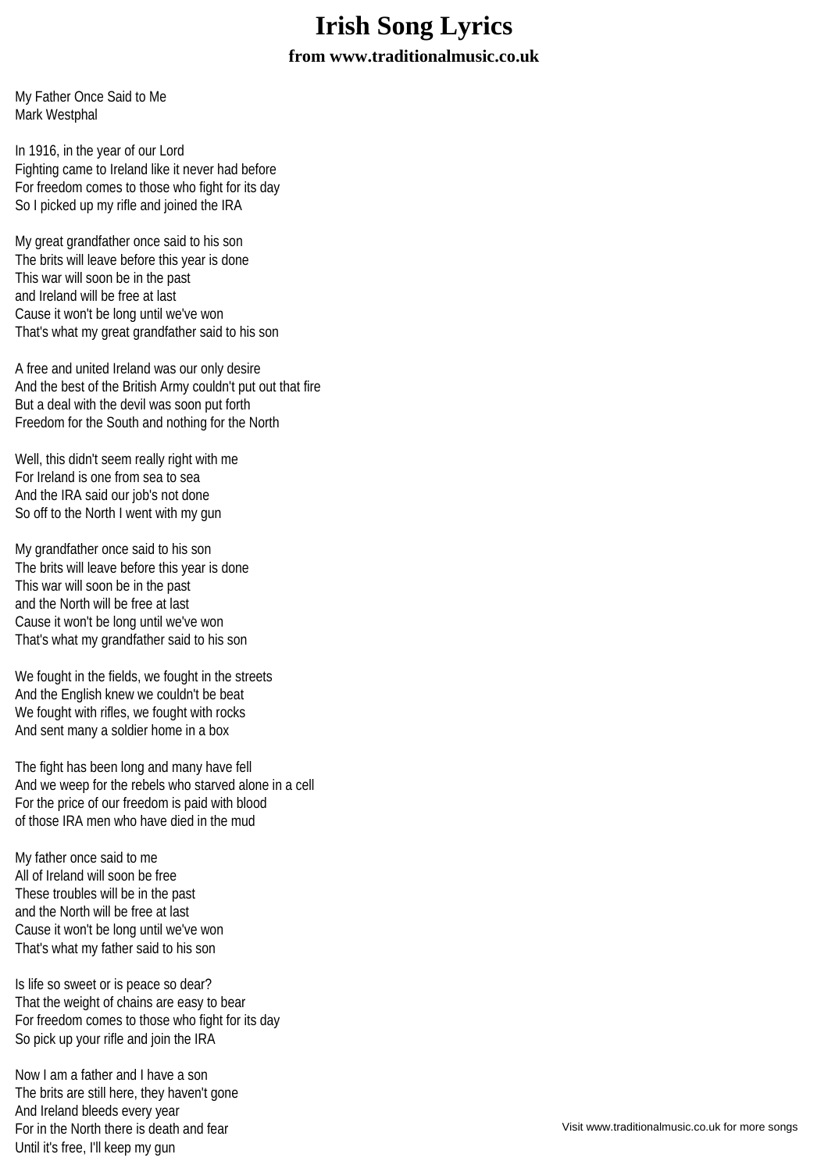## **Irish Song Lyrics**

## **from www.traditionalmusic.co.uk**

My Father Once Said to Me Mark Westphal

In 1916, in the year of our Lord Fighting came to Ireland like it never had before For freedom comes to those who fight for its day So I picked up my rifle and joined the IRA

My great grandfather once said to his son The brits will leave before this year is done This war will soon be in the past and Ireland will be free at last Cause it won't be long until we've won That's what my great grandfather said to his son

A free and united Ireland was our only desire And the best of the British Army couldn't put out that fire But a deal with the devil was soon put forth Freedom for the South and nothing for the North

Well, this didn't seem really right with me For Ireland is one from sea to sea And the IRA said our job's not done So off to the North I went with my gun

My grandfather once said to his son The brits will leave before this year is done This war will soon be in the past and the North will be free at last Cause it won't be long until we've won That's what my grandfather said to his son

We fought in the fields, we fought in the streets And the English knew we couldn't be beat We fought with rifles, we fought with rocks And sent many a soldier home in a box

The fight has been long and many have fell And we weep for the rebels who starved alone in a cell For the price of our freedom is paid with blood of those IRA men who have died in the mud

My father once said to me All of Ireland will soon be free These troubles will be in the past and the North will be free at last Cause it won't be long until we've won That's what my father said to his son

Is life so sweet or is peace so dear? That the weight of chains are easy to bear For freedom comes to those who fight for its day So pick up your rifle and join the IRA

Now I am a father and I have a son The brits are still here, they haven't gone And Ireland bleeds every year For in the North there is death and fear Until it's free, I'll keep my gun